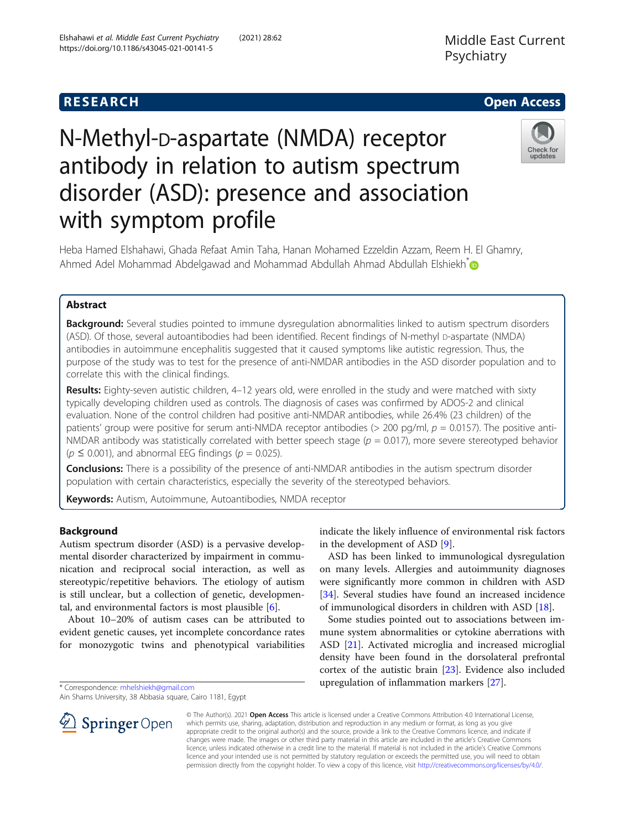# **RESEARCH CHILD CONTROL** CONTROL CONTROL CONTROL CONTROL CONTROL CONTROL CONTROL CONTROL CONTROL CONTROL CONTROL

# N-Methyl-D-aspartate (NMDA) receptor antibody in relation to autism spectrum disorder (ASD): presence and association with symptom profile



Heba Hamed Elshahawi, Ghada Refaat Amin Taha, Hanan Mohamed Ezzeldin Azzam, Reem H. El Ghamry, Ahmed Adel Mohammad Abdelgawad and Mohammad Abdullah Ahmad Abdullah Elshiekh[\\*](http://orcid.org/0000-0003-3343-2267)

# Abstract

**Background:** Several studies pointed to immune dysregulation abnormalities linked to autism spectrum disorders (ASD). Of those, several autoantibodies had been identified. Recent findings of N-methyl D-aspartate (NMDA) antibodies in autoimmune encephalitis suggested that it caused symptoms like autistic regression. Thus, the purpose of the study was to test for the presence of anti-NMDAR antibodies in the ASD disorder population and to correlate this with the clinical findings.

Results: Eighty-seven autistic children, 4-12 years old, were enrolled in the study and were matched with sixty typically developing children used as controls. The diagnosis of cases was confirmed by ADOS-2 and clinical evaluation. None of the control children had positive anti-NMDAR antibodies, while 26.4% (23 children) of the patients' group were positive for serum anti-NMDA receptor antibodies ( $>$  200 pg/ml,  $p = 0.0157$ ). The positive anti-NMDAR antibody was statistically correlated with better speech stage ( $p = 0.017$ ), more severe stereotyped behavior  $(p \le 0.001)$ , and abnormal EEG findings ( $p = 0.025$ ).

Conclusions: There is a possibility of the presence of anti-NMDAR antibodies in the autism spectrum disorder population with certain characteristics, especially the severity of the stereotyped behaviors.

Keywords: Autism, Autoimmune, Autoantibodies, NMDA receptor

## Background

Autism spectrum disorder (ASD) is a pervasive developmental disorder characterized by impairment in communication and reciprocal social interaction, as well as stereotypic/repetitive behaviors. The etiology of autism is still unclear, but a collection of genetic, developmental, and environmental factors is most plausible [[6\]](#page-6-0).

About 10–20% of autism cases can be attributed to evident genetic causes, yet incomplete concordance rates for monozygotic twins and phenotypical variabilities

\* Correspondence: [mhelshiekh@gmail.com](mailto:mhelshiekh@gmail.com)

Ain Shams University, 38 Abbasia square, Cairo 1181, Egypt

indicate the likely influence of environmental risk factors in the development of ASD [\[9](#page-6-0)].

ASD has been linked to immunological dysregulation on many levels. Allergies and autoimmunity diagnoses were significantly more common in children with ASD [[34\]](#page-7-0). Several studies have found an increased incidence of immunological disorders in children with ASD [\[18](#page-7-0)].

Some studies pointed out to associations between immune system abnormalities or cytokine aberrations with ASD [\[21](#page-7-0)]. Activated microglia and increased microglial density have been found in the dorsolateral prefrontal cortex of the autistic brain [\[23](#page-7-0)]. Evidence also included upregulation of inflammation markers [\[27](#page-7-0)].



© The Author(s). 2021 Open Access This article is licensed under a Creative Commons Attribution 4.0 International License, which permits use, sharing, adaptation, distribution and reproduction in any medium or format, as long as you give appropriate credit to the original author(s) and the source, provide a link to the Creative Commons licence, and indicate if changes were made. The images or other third party material in this article are included in the article's Creative Commons licence, unless indicated otherwise in a credit line to the material. If material is not included in the article's Creative Commons licence and your intended use is not permitted by statutory regulation or exceeds the permitted use, you will need to obtain permission directly from the copyright holder. To view a copy of this licence, visit <http://creativecommons.org/licenses/by/4.0/>.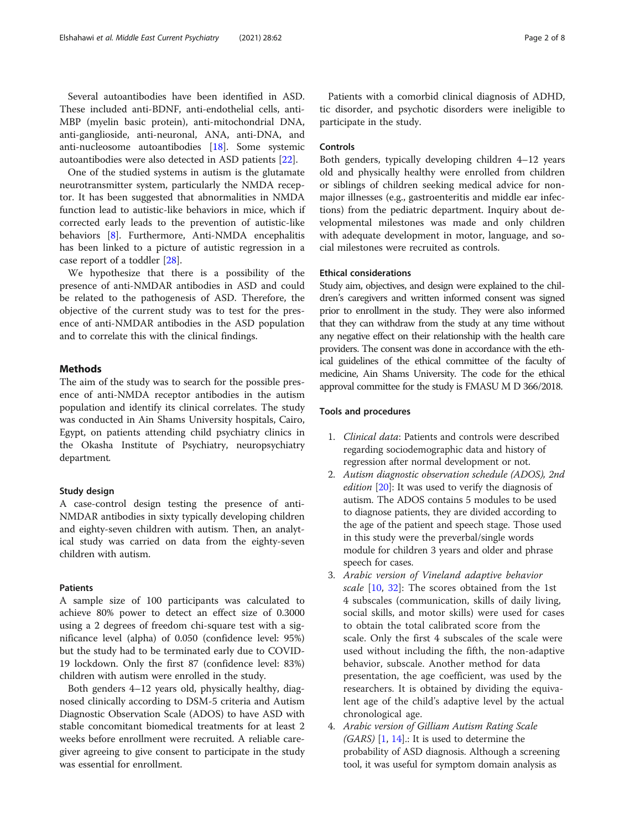anti-nucleosome autoantibodies [[18\]](#page-7-0). Some systemic

autoantibodies were also detected in ASD patients [[22\]](#page-7-0). One of the studied systems in autism is the glutamate neurotransmitter system, particularly the NMDA receptor. It has been suggested that abnormalities in NMDA function lead to autistic-like behaviors in mice, which if corrected early leads to the prevention of autistic-like behaviors [\[8](#page-6-0)]. Furthermore, Anti-NMDA encephalitis has been linked to a picture of autistic regression in a

case report of a toddler [[28](#page-7-0)]. We hypothesize that there is a possibility of the presence of anti-NMDAR antibodies in ASD and could be related to the pathogenesis of ASD. Therefore, the objective of the current study was to test for the presence of anti-NMDAR antibodies in the ASD population and to correlate this with the clinical findings.

### **Methods**

The aim of the study was to search for the possible presence of anti-NMDA receptor antibodies in the autism population and identify its clinical correlates. The study was conducted in Ain Shams University hospitals, Cairo, Egypt, on patients attending child psychiatry clinics in the Okasha Institute of Psychiatry, neuropsychiatry department.

#### Study design

A case-control design testing the presence of anti-NMDAR antibodies in sixty typically developing children and eighty-seven children with autism. Then, an analytical study was carried on data from the eighty-seven children with autism.

#### Patients

A sample size of 100 participants was calculated to achieve 80% power to detect an effect size of 0.3000 using a 2 degrees of freedom chi-square test with a significance level (alpha) of 0.050 (confidence level: 95%) but the study had to be terminated early due to COVID-19 lockdown. Only the first 87 (confidence level: 83%) children with autism were enrolled in the study.

Both genders 4–12 years old, physically healthy, diagnosed clinically according to DSM-5 criteria and Autism Diagnostic Observation Scale (ADOS) to have ASD with stable concomitant biomedical treatments for at least 2 weeks before enrollment were recruited. A reliable caregiver agreeing to give consent to participate in the study was essential for enrollment.

Patients with a comorbid clinical diagnosis of ADHD, tic disorder, and psychotic disorders were ineligible to participate in the study.

#### Controls

Both genders, typically developing children 4–12 years old and physically healthy were enrolled from children or siblings of children seeking medical advice for nonmajor illnesses (e.g., gastroenteritis and middle ear infections) from the pediatric department. Inquiry about developmental milestones was made and only children with adequate development in motor, language, and social milestones were recruited as controls.

#### Ethical considerations

Study aim, objectives, and design were explained to the children's caregivers and written informed consent was signed prior to enrollment in the study. They were also informed that they can withdraw from the study at any time without any negative effect on their relationship with the health care providers. The consent was done in accordance with the ethical guidelines of the ethical committee of the faculty of medicine, Ain Shams University. The code for the ethical approval committee for the study is FMASU M D 366/2018.

#### Tools and procedures

- 1. Clinical data: Patients and controls were described regarding sociodemographic data and history of regression after normal development or not.
- 2. Autism diagnostic observation schedule (ADOS), 2nd edition [[20](#page-7-0)]: It was used to verify the diagnosis of autism. The ADOS contains 5 modules to be used to diagnose patients, they are divided according to the age of the patient and speech stage. Those used in this study were the preverbal/single words module for children 3 years and older and phrase speech for cases.
- 3. Arabic version of Vineland adaptive behavior scale [[10,](#page-6-0) [32\]](#page-7-0): The scores obtained from the 1st 4 subscales (communication, skills of daily living, social skills, and motor skills) were used for cases to obtain the total calibrated score from the scale. Only the first 4 subscales of the scale were used without including the fifth, the non-adaptive behavior, subscale. Another method for data presentation, the age coefficient, was used by the researchers. It is obtained by dividing the equivalent age of the child's adaptive level by the actual chronological age.
- 4. Arabic version of Gilliam Autism Rating Scale  $(GARS)$  [\[1](#page-6-0), [14\]](#page-7-0).: It is used to determine the probability of ASD diagnosis. Although a screening tool, it was useful for symptom domain analysis as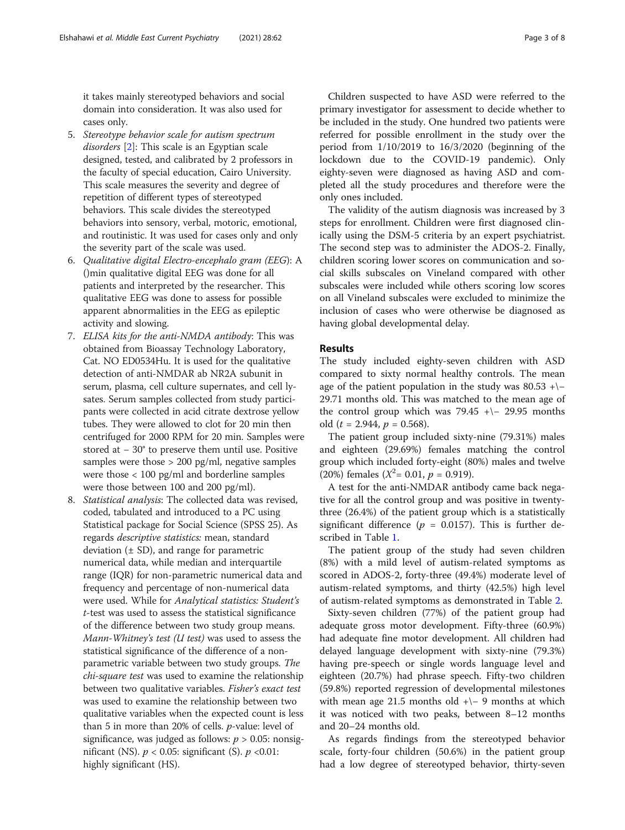it takes mainly stereotyped behaviors and social domain into consideration. It was also used for cases only.

- 5. Stereotype behavior scale for autism spectrum disorders [[2\]](#page-6-0): This scale is an Egyptian scale designed, tested, and calibrated by 2 professors in the faculty of special education, Cairo University. This scale measures the severity and degree of repetition of different types of stereotyped behaviors. This scale divides the stereotyped behaviors into sensory, verbal, motoric, emotional, and routinistic. It was used for cases only and only the severity part of the scale was used.
- 6. Qualitative digital Electro-encephalo gram (EEG): A ()min qualitative digital EEG was done for all patients and interpreted by the researcher. This qualitative EEG was done to assess for possible apparent abnormalities in the EEG as epileptic activity and slowing.
- 7. ELISA kits for the anti-NMDA antibody: This was obtained from Bioassay Technology Laboratory, Cat. NO ED0534Hu. It is used for the qualitative detection of anti-NMDAR ab NR2A subunit in serum, plasma, cell culture supernates, and cell lysates. Serum samples collected from study participants were collected in acid citrate dextrose yellow tubes. They were allowed to clot for 20 min then centrifuged for 2000 RPM for 20 min. Samples were stored at − 30° to preserve them until use. Positive samples were those  $> 200$  pg/ml, negative samples were those < 100 pg/ml and borderline samples were those between 100 and 200 pg/ml).
- 8. Statistical analysis: The collected data was revised, coded, tabulated and introduced to a PC using Statistical package for Social Science (SPSS 25). As regards descriptive statistics: mean, standard deviation  $(\pm SD)$ , and range for parametric numerical data, while median and interquartile range (IQR) for non-parametric numerical data and frequency and percentage of non-numerical data were used. While for Analytical statistics: Student's t-test was used to assess the statistical significance of the difference between two study group means. Mann-Whitney's test (U test) was used to assess the statistical significance of the difference of a nonparametric variable between two study groups. The chi-square test was used to examine the relationship between two qualitative variables. Fisher's exact test was used to examine the relationship between two qualitative variables when the expected count is less than 5 in more than 20% of cells.  $p$ -value: level of significance, was judged as follows:  $p > 0.05$ : nonsignificant (NS).  $p < 0.05$ : significant (S).  $p < 0.01$ : highly significant (HS).

Children suspected to have ASD were referred to the primary investigator for assessment to decide whether to be included in the study. One hundred two patients were referred for possible enrollment in the study over the period from 1/10/2019 to 16/3/2020 (beginning of the lockdown due to the COVID-19 pandemic). Only eighty-seven were diagnosed as having ASD and completed all the study procedures and therefore were the only ones included.

The validity of the autism diagnosis was increased by 3 steps for enrollment. Children were first diagnosed clinically using the DSM-5 criteria by an expert psychiatrist. The second step was to administer the ADOS-2. Finally, children scoring lower scores on communication and social skills subscales on Vineland compared with other subscales were included while others scoring low scores on all Vineland subscales were excluded to minimize the inclusion of cases who were otherwise be diagnosed as having global developmental delay.

#### Results

The study included eighty-seven children with ASD compared to sixty normal healthy controls. The mean age of the patient population in the study was  $80.53$  + $\$ 29.71 months old. This was matched to the mean age of the control group which was  $79.45$  + $\mid$  - 29.95 months old ( $t = 2.944$ ,  $p = 0.568$ ).

The patient group included sixty-nine (79.31%) males and eighteen (29.69%) females matching the control group which included forty-eight (80%) males and twelve (20%) females  $(X^2 = 0.01, p = 0.919)$ .

A test for the anti-NMDAR antibody came back negative for all the control group and was positive in twentythree (26.4%) of the patient group which is a statistically significant difference ( $p = 0.0157$ ). This is further described in Table [1.](#page-3-0)

The patient group of the study had seven children (8%) with a mild level of autism-related symptoms as scored in ADOS-2, forty-three (49.4%) moderate level of autism-related symptoms, and thirty (42.5%) high level of autism-related symptoms as demonstrated in Table [2](#page-3-0).

Sixty-seven children (77%) of the patient group had adequate gross motor development. Fifty-three (60.9%) had adequate fine motor development. All children had delayed language development with sixty-nine (79.3%) having pre-speech or single words language level and eighteen (20.7%) had phrase speech. Fifty-two children (59.8%) reported regression of developmental milestones with mean age 21.5 months old +\− 9 months at which it was noticed with two peaks, between 8–12 months and 20–24 months old.

As regards findings from the stereotyped behavior scale, forty-four children (50.6%) in the patient group had a low degree of stereotyped behavior, thirty-seven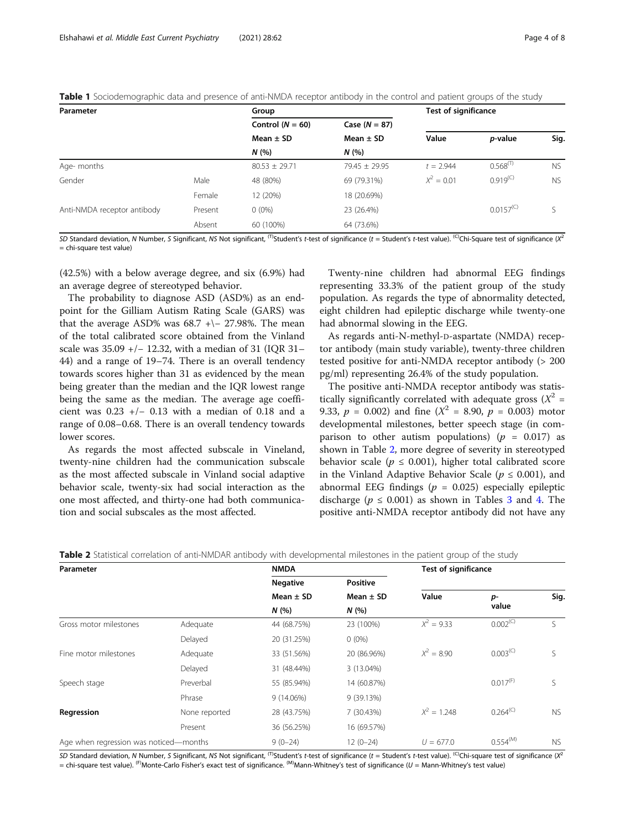| Parameter                   |         | Group              |                   | <b>Test of significance</b> |                 |           |
|-----------------------------|---------|--------------------|-------------------|-----------------------------|-----------------|-----------|
|                             |         | Control $(N = 60)$ | Case $(N = 87)$   |                             |                 |           |
|                             |         | Mean $\pm$ SD      | Mean $\pm$ SD     | Value                       | <i>p</i> -value | Sig.      |
|                             |         | N(%                | N(%               |                             |                 |           |
| Age- months                 |         | $80.53 \pm 29.71$  | $79.45 \pm 29.95$ | $t = 2.944$                 | $0.568^{(T)}$   | <b>NS</b> |
| Gender                      | Male    | 48 (80%)           | 69 (79.31%)       | $X^2 = 0.01$                | $0.919^{(C)}$   | <b>NS</b> |
|                             | Female  | 12 (20%)           | 18 (20.69%)       |                             |                 |           |
| Anti-NMDA receptor antibody | Present | $0(0\%)$           | 23 (26.4%)        |                             | $0.0157^{(C)}$  |           |
|                             | Absent  | 60 (100%)          | 64 (73.6%)        |                             |                 |           |

<span id="page-3-0"></span>Table 1 Sociodemographic data and presence of anti-NMDA receptor antibody in the control and patient groups of the study

SD Standard deviation, N Number, S Significant, NS Not significant, <sup>(T)</sup>Student's t-test of significance (t = Student's t-test value). <sup>(C)</sup>Chi-Square test of significance (X<sup>2</sup> = chi-square test value)

(42.5%) with a below average degree, and six (6.9%) had an average degree of stereotyped behavior.

The probability to diagnose ASD (ASD%) as an endpoint for the Gilliam Autism Rating Scale (GARS) was that the average ASD% was  $68.7$  + $\neg$  27.98%. The mean of the total calibrated score obtained from the Vinland scale was 35.09 +/− 12.32, with a median of 31 (IOR 31– 44) and a range of 19–74. There is an overall tendency towards scores higher than 31 as evidenced by the mean being greater than the median and the IQR lowest range being the same as the median. The average age coefficient was 0.23 +/− 0.13 with a median of 0.18 and a range of 0.08–0.68. There is an overall tendency towards lower scores.

As regards the most affected subscale in Vineland, twenty-nine children had the communication subscale as the most affected subscale in Vinland social adaptive behavior scale, twenty-six had social interaction as the one most affected, and thirty-one had both communication and social subscales as the most affected.

Twenty-nine children had abnormal EEG findings representing 33.3% of the patient group of the study population. As regards the type of abnormality detected, eight children had epileptic discharge while twenty-one had abnormal slowing in the EEG.

As regards anti-N-methyl-D-aspartate (NMDA) receptor antibody (main study variable), twenty-three children tested positive for anti-NMDA receptor antibody (> 200 pg/ml) representing 26.4% of the study population.

The positive anti-NMDA receptor antibody was statistically significantly correlated with adequate gross  $(X^2 =$ 9.33,  $p = 0.002$ ) and fine  $(X^2 = 8.90, p = 0.003)$  motor developmental milestones, better speech stage (in comparison to other autism populations) ( $p = 0.017$ ) as shown in Table 2, more degree of severity in stereotyped behavior scale ( $p \leq 0.001$ ), higher total calibrated score in the Vinland Adaptive Behavior Scale ( $p \leq 0.001$ ), and abnormal EEG findings ( $p = 0.025$ ) especially epileptic discharge ( $p \le 0.001$ ) as shown in Tables [3](#page-4-0) and [4](#page-4-0). The positive anti-NMDA receptor antibody did not have any

| Parameter                              |               | <b>NMDA</b>                             |                                          | <b>Test of significance</b> |                        |             |
|----------------------------------------|---------------|-----------------------------------------|------------------------------------------|-----------------------------|------------------------|-------------|
|                                        |               | <b>Negative</b><br>Mean $\pm$ SD<br>N(% | <b>Positive</b><br>Mean $\pm$ SD<br>N(%) |                             |                        |             |
|                                        |               |                                         |                                          | Value                       | p-<br>value            | Sig.        |
|                                        |               |                                         |                                          |                             |                        |             |
| Gross motor milestones                 | Adequate      | 44 (68.75%)                             | 23 (100%)                                | $X^2 = 9.33$                | $0.002^{(C)}$          | $\varsigma$ |
|                                        | Delayed       | 20 (31.25%)                             | $0(0\%)$                                 |                             |                        |             |
| Fine motor milestones                  | Adequate      | 33 (51.56%)                             | 20 (86.96%)                              | $X^2 = 8.90$                | $0.003^{(C)}$          |             |
|                                        | Delayed       | 31 (48.44%)                             | 3 (13.04%)                               |                             |                        |             |
| Speech stage                           | Preverbal     | 55 (85.94%)                             | 14 (60.87%)                              |                             | $0.017$ <sup>(F)</sup> | ς           |
|                                        | Phrase        | 9 (14.06%)                              | 9 (39.13%)                               |                             |                        |             |
| Regression                             | None reported | 28 (43.75%)                             | 7 (30.43%)                               | $X^2 = 1.248$               | $0.264^{(C)}$          | <b>NS</b>   |
|                                        | Present       | 36 (56.25%)                             | 16 (69.57%)                              |                             |                        |             |
| Age when regression was noticed-months |               | $9(0-24)$                               | $12(0-24)$                               | $U = 677.0$                 | $0.554^{(M)}$          | <b>NS</b>   |

Table 2 Statistical correlation of anti-NMDAR antibody with developmental milestones in the patient group of the study

SD Standard deviation, N Number, S Significant, NS Not significant, <sup>(T)</sup>Student's t-test of significance (t = Student's t-test value). <sup>(C)</sup>Chi-square test of significance (X<sup>2</sup>) = chi-square test value). (F)Monte-Carlo Fisher's exact test of significance. (M)Mann-Whitney's test of significance (U = Mann-Whitney's test value)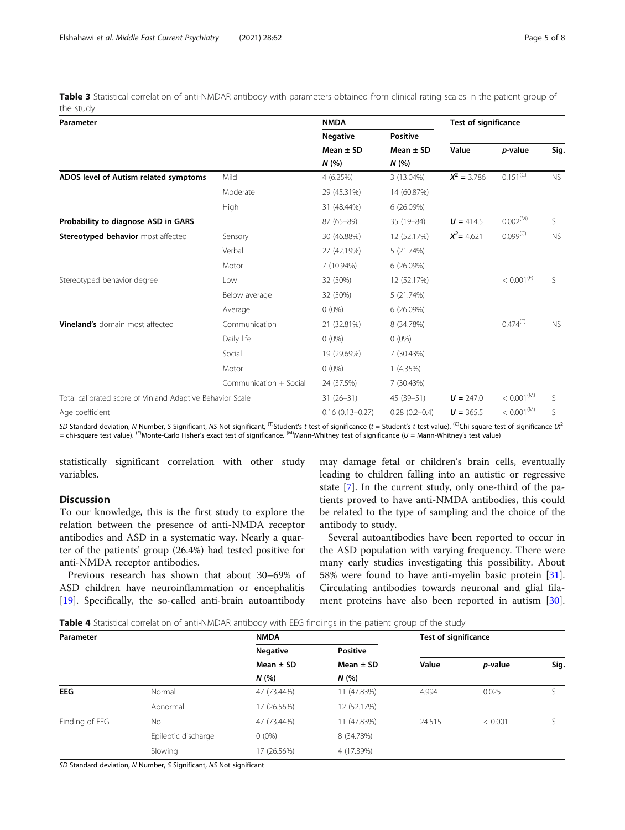<span id="page-4-0"></span>Table 3 Statistical correlation of anti-NMDAR antibody with parameters obtained from clinical rating scales in the patient group of the study

| Parameter                                                 |                        | <b>NMDA</b>         |                   | <b>Test of significance</b> |                        |           |
|-----------------------------------------------------------|------------------------|---------------------|-------------------|-----------------------------|------------------------|-----------|
|                                                           |                        | <b>Negative</b>     | <b>Positive</b>   |                             |                        |           |
|                                                           |                        | Mean $\pm$ SD       | Mean $\pm$ SD     | Value                       | p-value                | Sig.      |
|                                                           |                        | N(%                 | N(%               |                             |                        |           |
| ADOS level of Autism related symptoms                     | Mild                   | 4 (6.25%)           | 3 (13.04%)        | $X^2 = 3.786$               | $0.151^{(C)}$          | NS        |
|                                                           | Moderate               | 29 (45.31%)         | 14 (60.87%)       |                             |                        |           |
|                                                           | <b>High</b>            | 31 (48.44%)         | 6 (26.09%)        |                             |                        |           |
| Probability to diagnose ASD in GARS                       |                        | $87(65 - 89)$       | 35 (19-84)        | $U = 414.5$                 | 0.002 <sup>(M)</sup>   | S.        |
| Stereotyped behavior most affected                        | Sensory                | 30 (46.88%)         | 12 (52.17%)       | $X^2$ = 4.621               | $0.099^{(C)}$          | <b>NS</b> |
|                                                           | Verbal                 | 27 (42.19%)         | 5 (21.74%)        |                             |                        |           |
|                                                           | Motor                  | 7 (10.94%)          | 6(26.09%)         |                             |                        |           |
| Stereotyped behavior degree                               | Low                    | 32 (50%)            | 12 (52.17%)       |                             | < 0.001 <sup>(F)</sup> | S.        |
|                                                           | Below average          | 32 (50%)            | 5 (21.74%)        |                             |                        |           |
|                                                           | Average                | $0(0\%)$            | 6(26.09%)         |                             |                        |           |
| <b>Vineland's</b> domain most affected                    | Communication          | 21 (32.81%)         | 8 (34.78%)        |                             | $0.474^{(F)}$          | <b>NS</b> |
|                                                           | Daily life             | $0(0\%)$            | $0(0\%)$          |                             |                        |           |
|                                                           | Social                 | 19 (29.69%)         | 7 (30.43%)        |                             |                        |           |
|                                                           | Motor                  | $0(0\%)$            | 1(4.35%)          |                             |                        |           |
|                                                           | Communication + Social | 24 (37.5%)          | 7 (30.43%)        |                             |                        |           |
| Total calibrated score of Vinland Adaptive Behavior Scale |                        | $31(26-31)$         | 45 (39-51)        | $U = 247.0$                 | < 0.001 <sup>(M)</sup> | S         |
| Age coefficient                                           |                        | $0.16(0.13 - 0.27)$ | $0.28(0.2 - 0.4)$ | $U = 365.5$                 | < 0.001 <sup>(M)</sup> | S         |

*SD* Standard deviation, N Number, *S* Significant, NS Not significant, <sup>(T)</sup>Student's t-test of significance (t = Student's t-test value). <sup>(C)</sup>Chi-square test of significance (X<sup>2</sup> = chi-square test value). (F)Monte-Carlo Fisher's exact test of significance. (M)Mann-Whitney test of significance (U = Mann-Whitney's test value)

statistically significant correlation with other study variables.

# Discussion

To our knowledge, this is the first study to explore the relation between the presence of anti-NMDA receptor antibodies and ASD in a systematic way. Nearly a quarter of the patients' group (26.4%) had tested positive for anti-NMDA receptor antibodies.

Previous research has shown that about 30–69% of ASD children have neuroinflammation or encephalitis [[19\]](#page-7-0). Specifically, the so-called anti-brain autoantibody may damage fetal or children's brain cells, eventually leading to children falling into an autistic or regressive state [\[7](#page-6-0)]. In the current study, only one-third of the patients proved to have anti-NMDA antibodies, this could be related to the type of sampling and the choice of the antibody to study.

Several autoantibodies have been reported to occur in the ASD population with varying frequency. There were many early studies investigating this possibility. About 58% were found to have anti-myelin basic protein [\[31](#page-7-0)]. Circulating antibodies towards neuronal and glial filament proteins have also been reported in autism [\[30](#page-7-0)].

| <b>Table 4</b> Statistical correlation of anti-NMDAR antibody with EEG findings in the patient group of the study |  |  |  |
|-------------------------------------------------------------------------------------------------------------------|--|--|--|
|-------------------------------------------------------------------------------------------------------------------|--|--|--|

| Parameter      |                     | <b>NMDA</b>                      |                                  | <b>Test of significance</b> |                 |      |
|----------------|---------------------|----------------------------------|----------------------------------|-----------------------------|-----------------|------|
|                |                     | <b>Negative</b><br>Mean $\pm$ SD | <b>Positive</b><br>Mean $\pm$ SD |                             |                 | Sig. |
|                |                     |                                  |                                  | Value                       | <i>p</i> -value |      |
|                |                     | N(%                              | N(%                              |                             |                 |      |
| <b>EEG</b>     | Normal              | 47 (73.44%)                      | 11 (47.83%)                      | 4.994                       | 0.025           |      |
|                | Abnormal            | 17 (26.56%)                      | 12 (52.17%)                      |                             |                 |      |
| Finding of EEG | No                  | 47 (73.44%)                      | 11 (47.83%)                      | 24.515                      | < 0.001         |      |
|                | Epileptic discharge | $0(0\%)$                         | 8 (34.78%)                       |                             |                 |      |
|                | Slowing             | 17 (26.56%)                      | 4 (17.39%)                       |                             |                 |      |

SD Standard deviation, N Number, S Significant, NS Not significant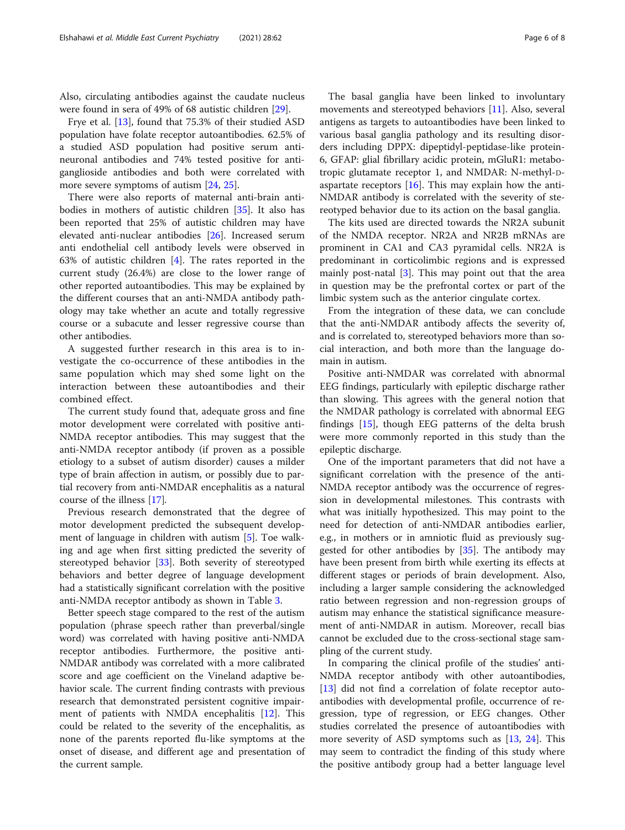Also, circulating antibodies against the caudate nucleus were found in sera of 49% of 68 autistic children [\[29\]](#page-7-0).

Frye et al. [\[13](#page-7-0)], found that 75.3% of their studied ASD population have folate receptor autoantibodies. 62.5% of a studied ASD population had positive serum antineuronal antibodies and 74% tested positive for antiganglioside antibodies and both were correlated with more severe symptoms of autism [\[24](#page-7-0), [25](#page-7-0)].

There were also reports of maternal anti-brain antibodies in mothers of autistic children [[35\]](#page-7-0). It also has been reported that 25% of autistic children may have elevated anti-nuclear antibodies [\[26](#page-7-0)]. Increased serum anti endothelial cell antibody levels were observed in 63% of autistic children [[4\]](#page-6-0). The rates reported in the current study (26.4%) are close to the lower range of other reported autoantibodies. This may be explained by the different courses that an anti-NMDA antibody pathology may take whether an acute and totally regressive course or a subacute and lesser regressive course than other antibodies.

A suggested further research in this area is to investigate the co-occurrence of these antibodies in the same population which may shed some light on the interaction between these autoantibodies and their combined effect.

The current study found that, adequate gross and fine motor development were correlated with positive anti-NMDA receptor antibodies. This may suggest that the anti-NMDA receptor antibody (if proven as a possible etiology to a subset of autism disorder) causes a milder type of brain affection in autism, or possibly due to partial recovery from anti-NMDAR encephalitis as a natural course of the illness [\[17](#page-7-0)].

Previous research demonstrated that the degree of motor development predicted the subsequent development of language in children with autism [\[5](#page-6-0)]. Toe walking and age when first sitting predicted the severity of stereotyped behavior [\[33](#page-7-0)]. Both severity of stereotyped behaviors and better degree of language development had a statistically significant correlation with the positive anti-NMDA receptor antibody as shown in Table [3](#page-4-0).

Better speech stage compared to the rest of the autism population (phrase speech rather than preverbal/single word) was correlated with having positive anti-NMDA receptor antibodies. Furthermore, the positive anti-NMDAR antibody was correlated with a more calibrated score and age coefficient on the Vineland adaptive behavior scale. The current finding contrasts with previous research that demonstrated persistent cognitive impairment of patients with NMDA encephalitis [[12](#page-7-0)]. This could be related to the severity of the encephalitis, as none of the parents reported flu-like symptoms at the onset of disease, and different age and presentation of the current sample.

The basal ganglia have been linked to involuntary movements and stereotyped behaviors [[11\]](#page-6-0). Also, several antigens as targets to autoantibodies have been linked to various basal ganglia pathology and its resulting disorders including DPPX: dipeptidyl-peptidase-like protein-

6, GFAP: glial fibrillary acidic protein, mGluR1: metabotropic glutamate receptor 1, and NMDAR: N-methyl-Daspartate receptors  $[16]$  $[16]$ . This may explain how the anti-NMDAR antibody is correlated with the severity of stereotyped behavior due to its action on the basal ganglia.

The kits used are directed towards the NR2A subunit of the NMDA receptor. NR2A and NR2B mRNAs are prominent in CA1 and CA3 pyramidal cells. NR2A is predominant in corticolimbic regions and is expressed mainly post-natal [\[3](#page-6-0)]. This may point out that the area in question may be the prefrontal cortex or part of the limbic system such as the anterior cingulate cortex.

From the integration of these data, we can conclude that the anti-NMDAR antibody affects the severity of, and is correlated to, stereotyped behaviors more than social interaction, and both more than the language domain in autism.

Positive anti-NMDAR was correlated with abnormal EEG findings, particularly with epileptic discharge rather than slowing. This agrees with the general notion that the NMDAR pathology is correlated with abnormal EEG findings [\[15](#page-7-0)], though EEG patterns of the delta brush were more commonly reported in this study than the epileptic discharge.

One of the important parameters that did not have a significant correlation with the presence of the anti-NMDA receptor antibody was the occurrence of regression in developmental milestones. This contrasts with what was initially hypothesized. This may point to the need for detection of anti-NMDAR antibodies earlier, e.g., in mothers or in amniotic fluid as previously suggested for other antibodies by [\[35\]](#page-7-0). The antibody may have been present from birth while exerting its effects at different stages or periods of brain development. Also, including a larger sample considering the acknowledged ratio between regression and non-regression groups of autism may enhance the statistical significance measurement of anti-NMDAR in autism. Moreover, recall bias cannot be excluded due to the cross-sectional stage sampling of the current study.

In comparing the clinical profile of the studies' anti-NMDA receptor antibody with other autoantibodies, [[13\]](#page-7-0) did not find a correlation of folate receptor autoantibodies with developmental profile, occurrence of regression, type of regression, or EEG changes. Other studies correlated the presence of autoantibodies with more severity of ASD symptoms such as [[13,](#page-7-0) [24\]](#page-7-0). This may seem to contradict the finding of this study where the positive antibody group had a better language level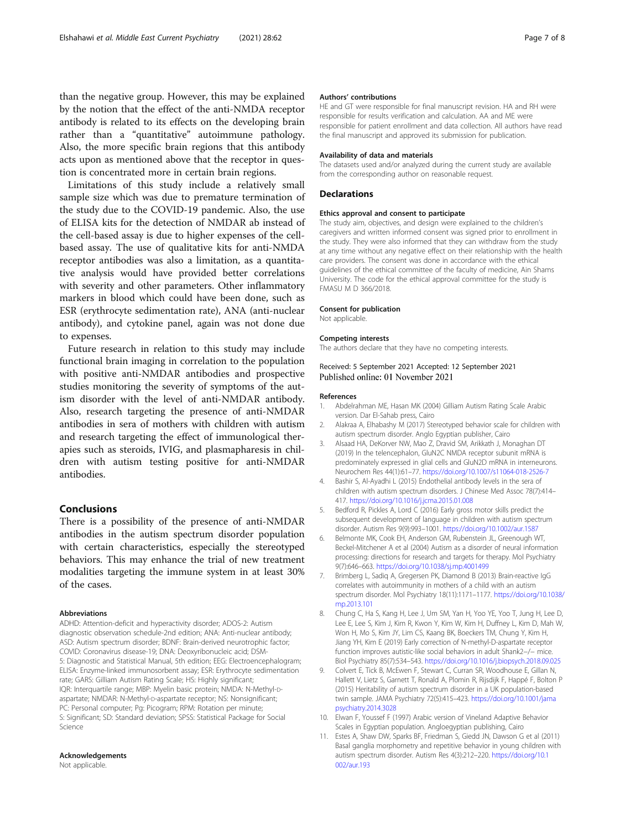<span id="page-6-0"></span>than the negative group. However, this may be explained by the notion that the effect of the anti-NMDA receptor antibody is related to its effects on the developing brain rather than a "quantitative" autoimmune pathology. Also, the more specific brain regions that this antibody acts upon as mentioned above that the receptor in question is concentrated more in certain brain regions.

Limitations of this study include a relatively small sample size which was due to premature termination of the study due to the COVID-19 pandemic. Also, the use of ELISA kits for the detection of NMDAR ab instead of the cell-based assay is due to higher expenses of the cellbased assay. The use of qualitative kits for anti-NMDA receptor antibodies was also a limitation, as a quantitative analysis would have provided better correlations with severity and other parameters. Other inflammatory markers in blood which could have been done, such as ESR (erythrocyte sedimentation rate), ANA (anti-nuclear antibody), and cytokine panel, again was not done due to expenses.

Future research in relation to this study may include functional brain imaging in correlation to the population with positive anti-NMDAR antibodies and prospective studies monitoring the severity of symptoms of the autism disorder with the level of anti-NMDAR antibody. Also, research targeting the presence of anti-NMDAR antibodies in sera of mothers with children with autism and research targeting the effect of immunological therapies such as steroids, IVIG, and plasmapharesis in children with autism testing positive for anti-NMDAR antibodies.

#### Conclusions

There is a possibility of the presence of anti-NMDAR antibodies in the autism spectrum disorder population with certain characteristics, especially the stereotyped behaviors. This may enhance the trial of new treatment modalities targeting the immune system in at least 30% of the cases.

#### Abbreviations

ADHD: Attention-deficit and hyperactivity disorder; ADOS-2: Autism diagnostic observation schedule-2nd edition; ANA: Anti-nuclear antibody; ASD: Autism spectrum disorder; BDNF: Brain-derived neurotrophic factor; COVID: Coronavirus disease-19; DNA: Deoxyribonucleic acid; DSM-5: Diagnostic and Statistical Manual, 5th edition; EEG: Electroencephalogram; ELISA: Enzyme-linked immunosorbent assay; ESR: Erythrocyte sedimentation rate; GARS: Gilliam Autism Rating Scale; HS: Highly significant; IQR: Interquartile range; MBP: Myelin basic protein; NMDA: N-Methyl-Daspartate; NMDAR: N-Methyl-D-aspartate receptor; NS: Nonsignificant; PC: Personal computer; Pg: Picogram; RPM: Rotation per minute; S: Significant; SD: Standard deviation; SPSS: Statistical Package for Social Science

#### Acknowledgements

Not applicable.

#### Authors' contributions

HE and GT were responsible for final manuscript revision. HA and RH were responsible for results verification and calculation. AA and ME were responsible for patient enrollment and data collection. All authors have read the final manuscript and approved its submission for publication.

#### Availability of data and materials

The datasets used and/or analyzed during the current study are available from the corresponding author on reasonable request.

#### Declarations

#### Ethics approval and consent to participate

The study aim, objectives, and design were explained to the children's caregivers and written informed consent was signed prior to enrollment in the study. They were also informed that they can withdraw from the study at any time without any negative effect on their relationship with the health care providers. The consent was done in accordance with the ethical guidelines of the ethical committee of the faculty of medicine, Ain Shams University. The code for the ethical approval committee for the study is FMASU M D 366/2018.

#### Consent for publication

Not applicable.

#### Competing interests

The authors declare that they have no competing interests.

#### Received: 5 September 2021 Accepted: 12 September 2021 Published online: 01 November 2021

#### References

- 1. Abdelrahman ME, Hasan MK (2004) Gilliam Autism Rating Scale Arabic version. Dar El-Sahab press, Cairo
- 2. Alakraa A, Elhabashy M (2017) Stereotyped behavior scale for children with autism spectrum disorder. Anglo Egyptian publisher, Cairo
- 3. Alsaad HA, DeKorver NW, Mao Z, Dravid SM, Arikkath J, Monaghan DT (2019) In the telencephalon, GluN2C NMDA receptor subunit mRNA is predominately expressed in glial cells and GluN2D mRNA in interneurons. Neurochem Res 44(1):61–77. <https://doi.org/10.1007/s11064-018-2526-7>
- 4. Bashir S, Al-Ayadhi L (2015) Endothelial antibody levels in the sera of children with autism spectrum disorders. J Chinese Med Assoc 78(7):414– 417. <https://doi.org/10.1016/j.jcma.2015.01.008>
- 5. Bedford R, Pickles A, Lord C (2016) Early gross motor skills predict the subsequent development of language in children with autism spectrum disorder. Autism Res 9(9):993–1001. <https://doi.org/10.1002/aur.1587>
- 6. Belmonte MK, Cook EH, Anderson GM, Rubenstein JL, Greenough WT, Beckel-Mitchener A et al (2004) Autism as a disorder of neural information processing: directions for research and targets for therapy. Mol Psychiatry 9(7):646–663. <https://doi.org/10.1038/sj.mp.4001499>
- 7. Brimberg L, Sadiq A, Gregersen PK, Diamond B (2013) Brain-reactive IgG correlates with autoimmunity in mothers of a child with an autism spectrum disorder. Mol Psychiatry 18(11):1171–1177. [https://doi.org/10.1038/](https://doi.org/10.1038/mp.2013.101) [mp.2013.101](https://doi.org/10.1038/mp.2013.101)
- 8. Chung C, Ha S, Kang H, Lee J, Um SM, Yan H, Yoo YE, Yoo T, Jung H, Lee D, Lee E, Lee S, Kim J, Kim R, Kwon Y, Kim W, Kim H, Duffney L, Kim D, Mah W, Won H, Mo S, Kim JY, Lim CS, Kaang BK, Boeckers TM, Chung Y, Kim H, Jiang YH, Kim E (2019) Early correction of N-methyl-D-aspartate receptor function improves autistic-like social behaviors in adult Shank2−/− mice. Biol Psychiatry 85(7):534–543. <https://doi.org/10.1016/j.biopsych.2018.09.025>
- 9. Colvert E, Tick B, McEwen F, Stewart C, Curran SR, Woodhouse E, Gillan N, Hallett V, Lietz S, Garnett T, Ronald A, Plomin R, Rijsdijk F, Happé F, Bolton P (2015) Heritability of autism spectrum disorder in a UK population-based twin sample. JAMA Psychiatry 72(5):415–423. [https://doi.org/10.1001/jama](https://doi.org/10.1001/jamapsychiatry.2014.3028) [psychiatry.2014.3028](https://doi.org/10.1001/jamapsychiatry.2014.3028)
- 10. Elwan F, Youssef F (1997) Arabic version of Vineland Adaptive Behavior Scales in Egyptian population. Angloegyptian publishing, Cairo
- 11. Estes A, Shaw DW, Sparks BF, Friedman S, Giedd JN, Dawson G et al (2011) Basal ganglia morphometry and repetitive behavior in young children with autism spectrum disorder. Autism Res 4(3):212–220. [https://doi.org/10.1](https://doi.org/10.1002/aur.193) [002/aur.193](https://doi.org/10.1002/aur.193)